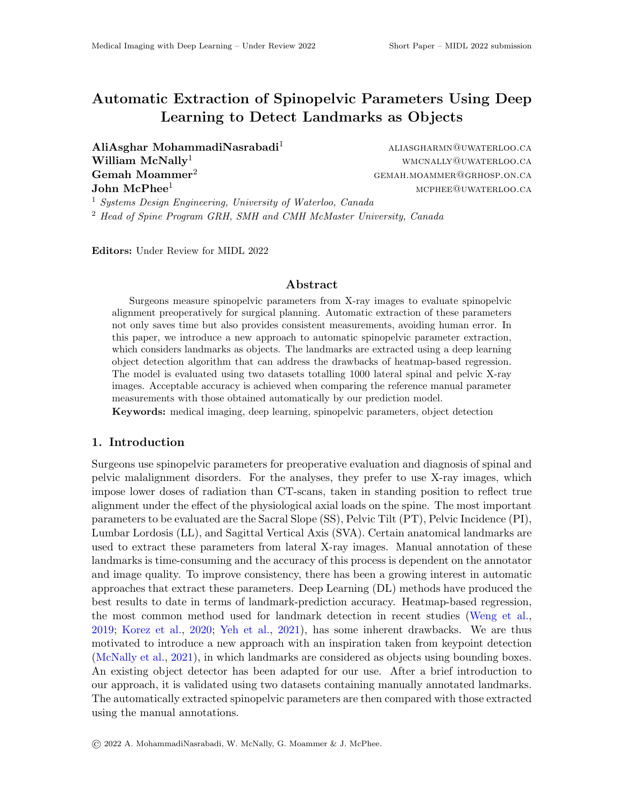# Automatic Extraction of Spinopelvic Parameters Using Deep Learning to Detect Landmarks as Objects

 $\text{AliAsghar MohammadiNasrabadi}^1$  aliasgharmn@uwaterloo.ca  $\textbf{William } \textbf{McNally}^1$  wmcnally@uwaterloo.ca  **gemah.moammer<sup>2</sup> gemaan.moammer.ca**  $\mathbf{John} \ \mathbf{McPhee}^1$  matrix and the matrix of the matrix  $\mathbf{McPhee}^1$  matrix  $\mathbf{McPhee}^1$ 

<sup>1</sup> Systems Design Engineering, University of Waterloo, Canada

<sup>2</sup> Head of Spine Program GRH, SMH and CMH McMaster University, Canada

Editors: Under Review for MIDL 2022

#### Abstract

Surgeons measure spinopelvic parameters from X-ray images to evaluate spinopelvic alignment preoperatively for surgical planning. Automatic extraction of these parameters not only saves time but also provides consistent measurements, avoiding human error. In this paper, we introduce a new approach to automatic spinopelvic parameter extraction, which considers landmarks as objects. The landmarks are extracted using a deep learning object detection algorithm that can address the drawbacks of heatmap-based regression. The model is evaluated using two datasets totalling 1000 lateral spinal and pelvic X-ray images. Acceptable accuracy is achieved when comparing the reference manual parameter measurements with those obtained automatically by our prediction model.

Keywords: medical imaging, deep learning, spinopelvic parameters, object detection

### 1. Introduction

Surgeons use spinopelvic parameters for preoperative evaluation and diagnosis of spinal and pelvic malalignment disorders. For the analyses, they prefer to use X-ray images, which impose lower doses of radiation than CT-scans, taken in standing position to reflect true alignment under the effect of the physiological axial loads on the spine. The most important parameters to be evaluated are the Sacral Slope (SS), Pelvic Tilt (PT), Pelvic Incidence (PI), Lumbar Lordosis (LL), and Sagittal Vertical Axis (SVA). Certain anatomical landmarks are used to extract these parameters from lateral X-ray images. Manual annotation of these landmarks is time-consuming and the accuracy of this process is dependent on the annotator and image quality. To improve consistency, there has been a growing interest in automatic approaches that extract these parameters. Deep Learning (DL) methods have produced the best results to date in terms of landmark-prediction accuracy. Heatmap-based regression, the most common method used for landmark detection in recent studies [\(Weng et al.,](#page-2-0) [2019;](#page-2-0) [Korez et al.,](#page-2-1) [2020;](#page-2-1) [Yeh et al.,](#page-2-2) [2021\)](#page-2-2), has some inherent drawbacks. We are thus motivated to introduce a new approach with an inspiration taken from keypoint detection [\(McNally et al.,](#page-2-3) [2021\)](#page-2-3), in which landmarks are considered as objects using bounding boxes. An existing object detector has been adapted for our use. After a brief introduction to our approach, it is validated using two datasets containing manually annotated landmarks. The automatically extracted spinopelvic parameters are then compared with those extracted using the manual annotations.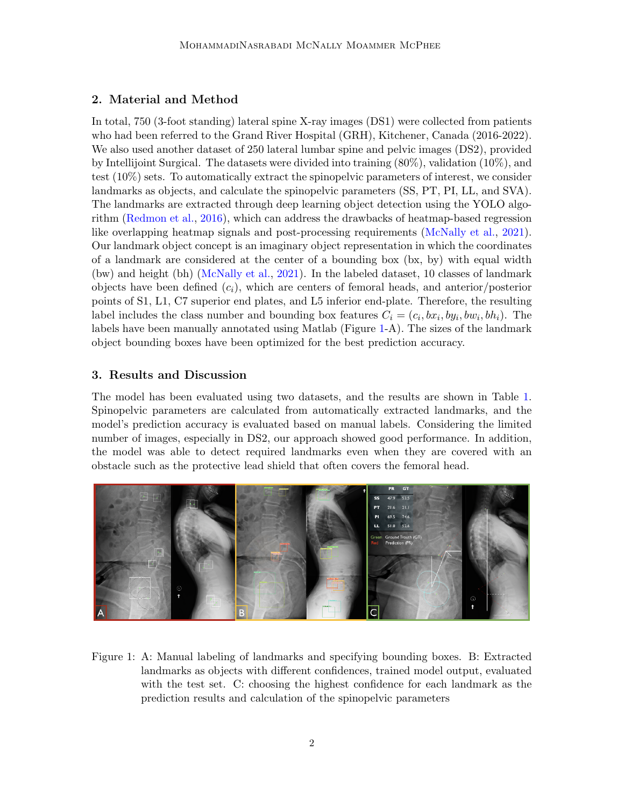#### 2. Material and Method

In total, 750 (3-foot standing) lateral spine X-ray images (DS1) were collected from patients who had been referred to the Grand River Hospital (GRH), Kitchener, Canada (2016-2022). We also used another dataset of 250 lateral lumbar spine and pelvic images (DS2), provided by Intellijoint Surgical. The datasets were divided into training (80%), validation (10%), and test (10%) sets. To automatically extract the spinopelvic parameters of interest, we consider landmarks as objects, and calculate the spinopelvic parameters (SS, PT, PI, LL, and SVA). The landmarks are extracted through deep learning object detection using the YOLO algorithm [\(Redmon et al.,](#page-2-4) [2016\)](#page-2-4), which can address the drawbacks of heatmap-based regression like overlapping heatmap signals and post-processing requirements [\(McNally et al.,](#page-2-3) [2021\)](#page-2-3). Our landmark object concept is an imaginary object representation in which the coordinates of a landmark are considered at the center of a bounding box (bx, by) with equal width (bw) and height (bh) [\(McNally et al.,](#page-2-3) [2021\)](#page-2-3). In the labeled dataset, 10 classes of landmark objects have been defined  $(c_i)$ , which are centers of femoral heads, and anterior/posterior points of S1, L1, C7 superior end plates, and L5 inferior end-plate. Therefore, the resulting label includes the class number and bounding box features  $C_i = (c_i, bx_i, by_i, bw_i, bh_i)$ . The labels have been manually annotated using Matlab (Figure [1-](#page-1-0)A). The sizes of the landmark object bounding boxes have been optimized for the best prediction accuracy.

## 3. Results and Discussion

The model has been evaluated using two datasets, and the results are shown in Table [1.](#page-2-5) Spinopelvic parameters are calculated from automatically extracted landmarks, and the model's prediction accuracy is evaluated based on manual labels. Considering the limited number of images, especially in DS2, our approach showed good performance. In addition, the model was able to detect required landmarks even when they are covered with an obstacle such as the protective lead shield that often covers the femoral head.



<span id="page-1-0"></span>Figure 1: A: Manual labeling of landmarks and specifying bounding boxes. B: Extracted landmarks as objects with different confidences, trained model output, evaluated with the test set. C: choosing the highest confidence for each landmark as the prediction results and calculation of the spinopelvic parameters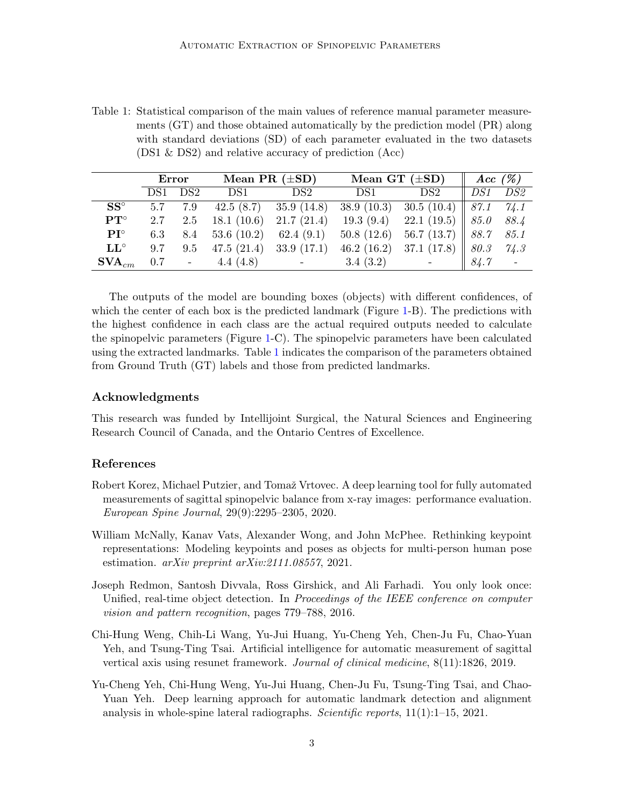<span id="page-2-5"></span>Table 1: Statistical comparison of the main values of reference manual parameter measurements (GT) and those obtained automatically by the prediction model (PR) along with standard deviations (SD) of each parameter evaluated in the two datasets (DS1 & DS2) and relative accuracy of prediction (Acc)

|                                 | Error |                 | Mean PR $(\pm SD)$ |                            | Mean GT $(\pm SD)$ |                          | Acc $(\%)$ |                 |
|---------------------------------|-------|-----------------|--------------------|----------------------------|--------------------|--------------------------|------------|-----------------|
|                                 | DS1.  | DS <sub>2</sub> | DS1                | DS2                        | DS1                | DS2                      | DS1        | DS <sub>2</sub> |
| $SS^{\circ}$                    | 5.7   | 7.9             |                    | 42.5 $(8.7)$ 35.9 $(14.8)$ | 38.9(10.3)         | 30.5(10.4)               | 87.1       | 74.1            |
| $\mathbf{PT}^{\circ}$           | 2.7   | 2.5             | 18.1(10.6)         | 21.7(21.4)                 | 19.3(9.4)          | 22.1(19.5)               | 85.0       | 88.4            |
| $\mathbf{PI}^{\circ}$           | 6.3   | 8.4             | 53.6(10.2)         | 62.4(9.1)                  | 50.8(12.6)         | 56.7(13.7)               | 88.7       | 85.1            |
| $\mathbf{L} \mathbf{L}^{\circ}$ | 9.7   | 9.5             | 47.5(21.4)         | 33.9(17.1)                 | 46.2 $(16.2)$      | 37.1(17.8)               | 80.3       | 74.3            |
| $\mathbf{SVA}_{cm}$             | 0.7   | $\mathbb{L}^2$  | 4.4 $(4.8)$        | $\sim 100$ km s $^{-1}$    | 3.4(3.2)           | $\overline{\phantom{a}}$ | 84.7       | $\mathbb{Z}$    |

The outputs of the model are bounding boxes (objects) with different confidences, of which the center of each box is the predicted landmark (Figure [1-](#page-1-0)B). The predictions with the highest confidence in each class are the actual required outputs needed to calculate the spinopelvic parameters (Figure [1-](#page-1-0)C). The spinopelvic parameters have been calculated using the extracted landmarks. Table [1](#page-2-5) indicates the comparison of the parameters obtained from Ground Truth (GT) labels and those from predicted landmarks.

#### Acknowledgments

This research was funded by Intellijoint Surgical, the Natural Sciences and Engineering Research Council of Canada, and the Ontario Centres of Excellence.

#### References

- <span id="page-2-1"></span>Robert Korez, Michael Putzier, and Tomaž Vrtovec. A deep learning tool for fully automated measurements of sagittal spinopelvic balance from x-ray images: performance evaluation. European Spine Journal, 29(9):2295–2305, 2020.
- <span id="page-2-3"></span>William McNally, Kanav Vats, Alexander Wong, and John McPhee. Rethinking keypoint representations: Modeling keypoints and poses as objects for multi-person human pose estimation. arXiv preprint arXiv:2111.08557, 2021.
- <span id="page-2-4"></span>Joseph Redmon, Santosh Divvala, Ross Girshick, and Ali Farhadi. You only look once: Unified, real-time object detection. In *Proceedings of the IEEE conference on computer* vision and pattern recognition, pages 779–788, 2016.
- <span id="page-2-0"></span>Chi-Hung Weng, Chih-Li Wang, Yu-Jui Huang, Yu-Cheng Yeh, Chen-Ju Fu, Chao-Yuan Yeh, and Tsung-Ting Tsai. Artificial intelligence for automatic measurement of sagittal vertical axis using resunet framework. Journal of clinical medicine, 8(11):1826, 2019.
- <span id="page-2-2"></span>Yu-Cheng Yeh, Chi-Hung Weng, Yu-Jui Huang, Chen-Ju Fu, Tsung-Ting Tsai, and Chao-Yuan Yeh. Deep learning approach for automatic landmark detection and alignment analysis in whole-spine lateral radiographs. Scientific reports,  $11(1):1-15$ ,  $2021$ .